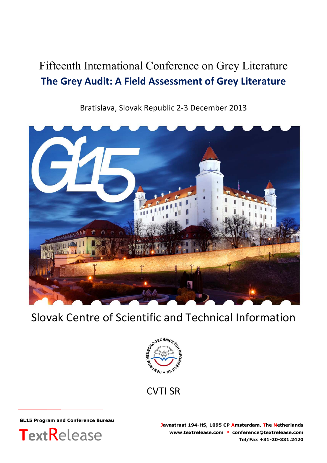# Fifteenth International Conference on Grey Literature **The Grey Audit: A Field Assessment of Grey Literature**

Bratislava, Slovak Republic 2-3 December 2013



# Slovak Centre of Scientific and Technical Information



CVTI SR

**GL15 Program and Conference Bureau**



**Javastraat 194-HS, 1095 CP Amsterdam, The Netherlands www.textrelease.com ▪ conference@textrelease.com Tel/Fax +31-20-331.2420**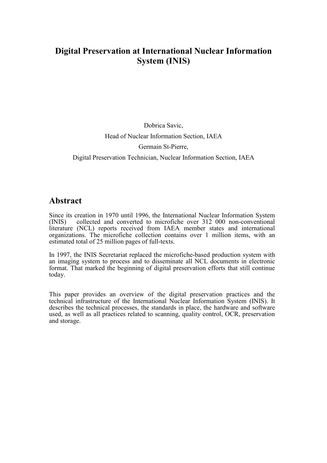# **Digital Preservation at International Nuclear Information System (INIS)**

# Dobrica Savic, Head of Nuclear Information Section, IAEA Germain St-Pierre, Digital Preservation Technician, Nuclear Information Section, IAEA

# **Abstract**

Since its creation in 1970 until 1996, the International Nuclear Information System (INIS) collected and converted to microfiche over 312 000 non-conventional collected and converted to microfiche over 312 000 non-conventional literature (NCL) reports received from IAEA member states and international organizations. The microfiche collection contains over 1 million items, with an estimated total of 25 million pages of full-texts.

In 1997, the INIS Secretariat replaced the microfiche-based production system with an imaging system to process and to disseminate all NCL documents in electronic format. That marked the beginning of digital preservation efforts that still continue today.

This paper provides an overview of the digital preservation practices and the technical infrastructure of the International Nuclear Information System (INIS). It describes the technical processes, the standards in place, the hardware and software used, as well as all practices related to scanning, quality control, OCR, preservation and storage.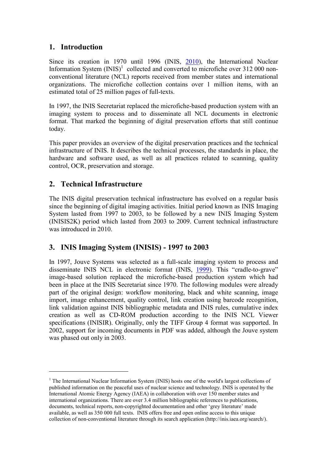## **1. Introduction**

Since its creation in 1970 until 1996 (INIS, 2010), the International Nuclear Information System  $(INIS)^1$  $(INIS)^1$  collected and convert[ed to m](#page-15-0)icrofiche over 312 000 nonconventional literature (NCL) reports received from member states and international organizations. The microfiche collection contains over 1 million items, with an estimated total of 25 million pages of full-texts.

In 1997, the INIS Secretariat replaced the microfiche-based production system with an imaging system to process and to disseminate all NCL documents in electronic format. That marked the beginning of digital preservation efforts that still continue today.

This paper provides an overview of the digital preservation practices and the technical infrastructure of INIS. It describes the technical processes, the standards in place, the hardware and software used, as well as all practices related to scanning, quality control, OCR, preservation and storage.

## **2. Technical Infrastructure**

The INIS digital preservation technical infrastructure has evolved on a regular basis since the beginning of digital imaging activities. Initial period known as INIS Imaging System lasted from 1997 to 2003, to be followed by a new INIS Imaging System (INISIS2K) period which lasted from 2003 to 2009. Current technical infrastructure was introduced in 2010.

## **3. INIS Imaging System (INISIS) - 1997 to 2003**

In 1997, Jouve Systems was selected as a full-scale imaging system to process and disseminate INIS NCL in electronic format (INIS, [1999\)](#page-15-0). This "cradle-to-grave" image-based solution replaced the microfiche-based production system which had been in place at the INIS Secretariat since 1970. The following modules were already part of the original design: workflow monitoring, black and white scanning, image import, image enhancement, quality control, link creation using barcode recognition, link validation against INIS bibliographic metadata and INIS rules, cumulative index creation as well as CD-ROM production according to the INIS NCL Viewer specifications (INISIR). Originally, only the TIFF Group 4 format was supported. In 2002, support for incoming documents in PDF was added, although the Jouve system was phased out only in 2003.

<span id="page-2-0"></span><sup>&</sup>lt;sup>1</sup> The International Nuclear Information System (INIS) hosts one of the world's largest collections of published information on the peaceful uses of nuclear science and technology. INIS is operated by the International Atomic Energy Agency (IAEA) in collaboration with over 150 member states and international organizations. There are over 3.4 million bibliographic references to publications, documents, technical reports, non-copyrighted documentation and other 'grey literature' made available, as well as 350 000 full texts. INIS offers free and open online access to this unique collection of non-conventional literature through its search application (http://inis.iaea.org/search/).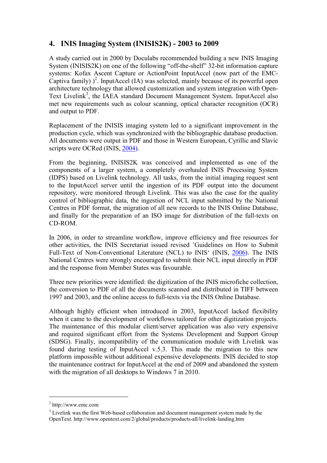# **4. INIS Imaging System (INISIS2K) - 2003 to 2009**

A study carried out in 2000 by Doculabs recommended building a new INIS Imaging System (INISIS2K) on one of the following "off-the-shelf" 32-bit information capture systems: Kofax Ascent Capture or ActionPoint InputAccel (now part of the EMC-Captiva family)  $)^2$ . InputAccel (IA) was selected, mainly because of its powerful open architecture technology that allowed customization and system integration with Open-Text Livelink<sup>[3](#page-3-1)</sup>, the IAEA standard Document Management System. InputAccel also met new requirements such as colour scanning, optical character recognition (OCR) and output to PDF.

Replacement of the INISIS imaging system led to a significant improvement in the production cycle, which was synchronized with the bibliographic database production. All documents were output in PDF and those in Western European, Cyrillic and Slavic scripts were OCRed (INIS, [2004](#page-15-0)).

From the beginning, INISIS2K was conceived and implemented as one of the components of a larger system, a completely overhauled INIS Processing System (IDPS) based on Livelink technology. All tasks, from the initial imaging request sent to the InputAccel server until the ingestion of its PDF output into the document repository, were monitored through Livelink. This was also the case for the quality control of bibliographic data, the ingestion of NCL input submitted by the National Centres in PDF format, the migration of all new records to the INIS Online Database, and finally for the preparation of an ISO image for distribution of the full-texts on CD-ROM.

In 2006, in order to streamline workflow, improve efficiency and free resources for other activities, the INIS Secretariat issued revised 'Guidelines on How to Submit Full-Text of Non-Conventional Literature (NCL) to INIS' (INIS, [2006](#page-15-0)). The INIS National Centres were strongly encouraged to submit their NCL input directly in PDF and the response from Member States was favourable.

Three new priorities were identified: the digitization of the INIS microfiche collection, the conversion to PDF of all the documents scanned and distributed in TIFF between 1997 and 2003, and the online access to full-texts via the INIS Online Database.

Although highly efficient when introduced in 2003, InputAccel lacked flexibility when it came to the development of workflows tailored for other digitization projects. The maintenance of this modular client/server application was also very expensive and required significant effort from the Systems Development and Support Group (SDSG). Finally, incompatibility of the communication module with Livelink was found during testing of InputAccel v.5.3. This made the migration to this new platform impossible without additional expensive developments. INIS decided to stop the maintenance contract for InputAccel at the end of 2009 and abandoned the system with the migration of all desktops to Windows 7 in 2010.

<span id="page-3-0"></span> $2$  http://www.emc.com

<span id="page-3-1"></span><sup>&</sup>lt;sup>3</sup> Livelink was the first Web-based collaboration and document management system made by the OpenText. http://www.opentext.com/2/global/products/products-all/livelink-landing.htm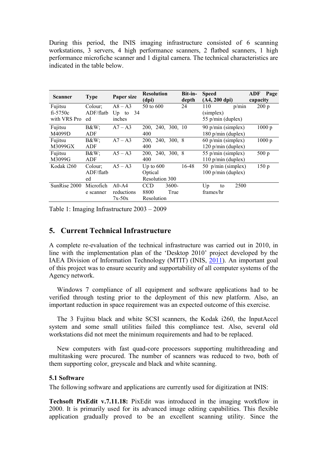During this period, the INIS imaging infrastructure consisted of 6 scanning workstations, 3 servers, 4 high performance scanners, 2 flatbed scanners, 1 high performance microfiche scanner and 1 digital camera. The technical characteristics are indicated in the table below.

| <b>Scanner</b> | <b>Type</b> | Paper size      | <b>Resolution</b> | Bit-in- | <b>Speed</b>            | ADF Page |
|----------------|-------------|-----------------|-------------------|---------|-------------------------|----------|
|                |             |                 | (dpi)             | depth   | $(A4, 200 \text{ dpi})$ | capacity |
| Fujitsu        | Colour;     | $A8 - A3$       | 50 to 600         | 24      | 110<br>p/min            | 200 p    |
| $fi-5750c$     | ADF/flatb   | - 34<br>$Up$ to |                   |         | (simplex)               |          |
| with VRS Pro   | ed          | inches          |                   |         | 55 p/min (duplex)       |          |
| Fujitsu        | $B\&W$ :    | $A7 - A3$       | 200, 240, 300, 10 |         | 90 p/min (simplex)      | 1000 p   |
| M4099D         | ADF         |                 | 400               |         | 180 $p/min$ (duplex)    |          |
| Fujitsu        | $B\&W$ ;    | $A7 - A3$       | 200, 240, 300, 8  |         | $60$ p/min (simplex)    | 1000 p   |
| M3099GX        | ADF         |                 | 400               |         | 120 p/min (duplex)      |          |
| Fujitsu        | $B\&W$ ;    | $A5 - A3$       | 200, 240, 300, 8  |         | 55 p/min (simplex)      | 500 p    |
| M3099G         | <b>ADF</b>  |                 | 400               |         | $110$ p/min (duplex)    |          |
| Kodak i260     | Colour:     | $A5 - A3$       | Up to $600$       | 16-48   | 50 $p/min$ (simplex)    | 150p     |
|                | ADF/flatb   |                 | Optical           |         | $100$ p/min (duplex)    |          |
|                | ed          |                 | Resolution 300    |         |                         |          |
| SunRise 2000   | Microfich   | $A0-A4$         | CCD<br>$3600 -$   |         | 2500<br>$U_{p}$<br>to   |          |
|                | e scanner   | reductions      | 8800<br>True      |         | frames/hr               |          |
|                |             | $7x-50x$        | Resolution        |         |                         |          |

Table 1: Imaging Infrastructure 2003 – 2009

#### **5. Current Technical Infrastructure**

A complete re-evaluation of the technical infrastructure was carried out in 2010, in line with the implementation plan of the 'Desktop 2010' project developed by the IAEA Division of Information Technology (MTIT) (INIS, [2011\)](#page-15-0). An important goal of this project was to ensure security and supportability of all computer systems of the Agency network.

Windows 7 compliance of all equipment and software applications had to be verified through testing prior to the deployment of this new platform. Also, an important reduction in space requirement was an expected outcome of this exercise.

The 3 Fujitsu black and white SCSI scanners, the Kodak i260, the InputAccel system and some small utilities failed this compliance test. Also, several old workstations did not meet the minimum requirements and had to be replaced.

New computers with fast quad-core processors supporting multithreading and multitasking were procured. The number of scanners was reduced to two, both of them supporting color, greyscale and black and white scanning.

#### **5.1 Software**

The following software and applications are currently used for digitization at INIS:

**Techsoft PixEdit v.7.11.18:** PixEdit was introduced in the imaging workflow in 2000. It is primarily used for its advanced image editing capabilities. This flexible application gradually proved to be an excellent scanning utility. Since the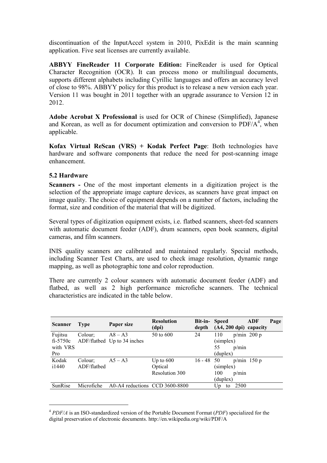discontinuation of the InputAccel system in 2010, PixEdit is the main scanning application. Five seat licenses are currently available.

**ABBYY FineReader 11 Corporate Edition:** FineReader is used for Optical Character Recognition (OCR). It can process mono or multilingual documents, supports different alphabets including Cyrillic languages and offers an accuracy level of close to 98%. ABBYY policy for this product is to release a new version each year. Version 11 was bought in 2011 together with an upgrade assurance to Version 12 in 2012.

**Adobe Acrobat X Professional** is used for OCR of Chinese (Simplified), Japanese and Korean, as well as for document optimization and conversion to  $PDF/A<sup>4</sup>$  $PDF/A<sup>4</sup>$  $PDF/A<sup>4</sup>$ , when applicable.

**Kofax Virtual ReScan (VRS) + Kodak Perfect Page**: Both technologies have hardware and software components that reduce the need for post-scanning image enhancement.

#### **5.2 Hardware**

**Scanners -** One of the most important elements in a digitization project is the selection of the appropriate image capture devices, as scanners have great impact on image quality. The choice of equipment depends on a number of factors, including the format, size and condition of the material that will be digitized.

Several types of digitization equipment exists, i.e. flatbed scanners, sheet-fed scanners with automatic document feeder (ADF), drum scanners, open book scanners, digital cameras, and film scanners.

INIS quality scanners are calibrated and maintained regularly. Special methods, including Scanner Test Charts, are used to check image resolution, dynamic range mapping, as well as photographic tone and color reproduction.

There are currently 2 colour scanners with automatic document feeder (ADF) and flatbed, as well as 2 high performance microfiche scanners. The technical characteristics are indicated in the table below.

| <b>Scanner</b> | <b>Type</b> | Paper size                      | <b>Resolution</b><br>(dpi) | Bit-in-<br>depth | <b>Speed</b><br>$(A4, 200 \text{ dpi})$ capacity | ADF           | Page |
|----------------|-------------|---------------------------------|----------------------------|------------------|--------------------------------------------------|---------------|------|
| Fujitsu        | Colour;     | $\overline{AB} - \overline{A3}$ | 50 to 600                  | 24               | 110                                              | $p/min$ 200 p |      |
| $fi-5750c$     |             | ADF/flatbed Up to 34 inches     |                            |                  | (simplex)                                        |               |      |
| with VRS       |             |                                 |                            |                  | 55<br>p/min                                      |               |      |
| Pro            |             |                                 |                            |                  | (duplex)                                         |               |      |
| Kodak          | Colour:     | $A5 - A3$                       | Up to $600$                | $16 - 48$ 50     |                                                  | $p/min$ 150 p |      |
| i1440          | ADF/flathed |                                 | Optical                    |                  | (simplex)                                        |               |      |
|                |             |                                 | Resolution 300             |                  | 100<br>p/min                                     |               |      |
|                |             |                                 |                            |                  | (duplex)                                         |               |      |
| SunRise        | Microfiche  | A0-A4 reductions CCD 3600-8800  |                            |                  | 2500<br>Up<br>to                                 |               |      |

<span id="page-5-0"></span><sup>4</sup> *PDF/A* is an ISO-standardized version of the Portable Document Format (*PDF*) specialized for the digital preservation of electronic documents. http://en.wikipedia.org/wiki/PDF/A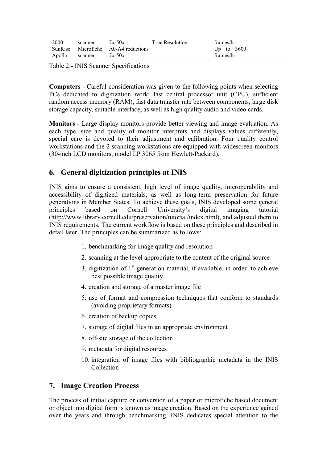| 2000    | scanner    | $7x-50x$         | True Resolution | frames/hr    |
|---------|------------|------------------|-----------------|--------------|
| SunRise | Microfiche | A0-A4 reductions |                 | Up to $3600$ |
| Apollo  | scanner    | $7x-50x$         |                 | frames/hr    |

Table 2:- INIS Scanner Specifications

**Computers -** Careful consideration was given to the following points when selecting PCs dedicated to digitization work: fast central processor unit (CPU), sufficient random access memory (RAM), fast data transfer rate between components, large disk storage capacity, suitable interface, as well as high quality audio and video cards.

**Monitors -** Large display monitors provide better viewing and image evaluation. As each type, size and quality of monitor interprets and displays values differently, special care is devoted to their adjustment and calibration. Four quality control workstations and the 2 scanning workstations are equipped with widescreen monitors (30-inch LCD monitors, model LP 3065 from Hewlett-Packard).

# **6. General digitization principles at INIS**

INIS aims to ensure a consistent, high level of image quality, interoperability and accessibility of digitized materials, as well as long-term preservation for future generations in Member States. To achieve these goals, INIS developed some general principles based on Cornell University's digital imaging tutorial (http://www.library.cornell.edu/preservation/tutorial/index.html), and adjusted them to INIS requirements. The current workflow is based on these principles and described in detail later. The principles can be summarized as follows:

- 1. benchmarking for image quality and resolution
- 2. scanning at the level appropriate to the content of the original source
- 3. digitization of  $1<sup>st</sup>$  generation material, if available, in order to achieve best possible image quality
- 4. creation and storage of a master image file
- 5. use of format and compression techniques that conform to standards (avoiding proprietary formats)
- 6. creation of backup copies
- 7. storage of digital files in an appropriate environment
- 8. off-site storage of the collection
- 9. metadata for digital resources
- 10. integration of image files with bibliographic metadata in the INIS Collection

## **7. Image Creation Process**

The process of initial capture or conversion of a paper or microfiche based document or object into digital form is known as image creation. Based on the experience gained over the years and through benchmarking, INIS dedicates special attention to the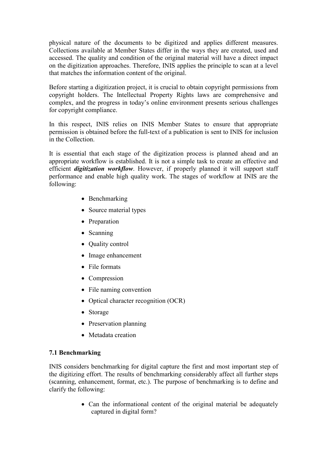physical nature of the documents to be digitized and applies different measures. Collections available at Member States differ in the ways they are created, used and accessed. The quality and condition of the original material will have a direct impact on the digitization approaches. Therefore, INIS applies the principle to scan at a level that matches the information content of the original.

Before starting a digitization project, it is crucial to obtain copyright permissions from copyright holders. The Intellectual Property Rights laws are comprehensive and complex, and the progress in today's online environment presents serious challenges for copyright compliance.

In this respect, INIS relies on INIS Member States to ensure that appropriate permission is obtained before the full-text of a publication is sent to INIS for inclusion in the Collection.

It is essential that each stage of the digitization process is planned ahead and an appropriate workflow is established. It is not a simple task to create an effective and efficient *digitization workflow*. However, if properly planned it will support staff performance and enable high quality work. The stages of workflow at INIS are the following:

- Benchmarking
- Source material types
- Preparation
- Scanning
- Ouality control
- Image enhancement
- File formats
- Compression
- File naming convention
- Optical character recognition (OCR)
- Storage
- Preservation planning
- Metadata creation

#### **7.1 Benchmarking**

INIS considers benchmarking for digital capture the first and most important step of the digitizing effort. The results of benchmarking considerably affect all further steps (scanning, enhancement, format, etc.). The purpose of benchmarking is to define and clarify the following:

> • Can the informational content of the original material be adequately captured in digital form?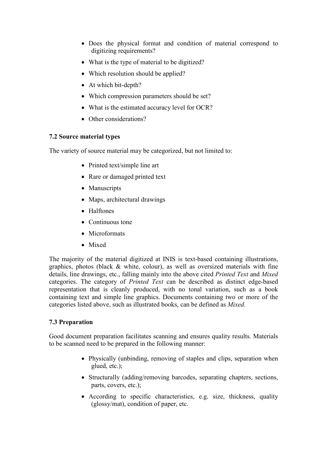- Does the physical format and condition of material correspond to digitizing requirements?
- What is the type of material to be digitized?
- Which resolution should be applied?
- At which bit-depth?
- Which compression parameters should be set?
- What is the estimated accuracy level for OCR?
- Other considerations?

#### **7.2 Source material types**

The variety of source material may be categorized, but not limited to:

- Printed text/simple line art
- Rare or damaged printed text
- Manuscripts
- Maps, architectural drawings
- Halftones
- Continuous tone
- Microformats
- Mixed

The majority of the material digitized at INIS is text-based containing illustrations, graphics, photos (black & white, colour), as well as oversized materials with fine details, line drawings, etc., falling mainly into the above cited *Printed Text* and *Mixed* categories. The category of *Printed Text* can be described as distinct edge-based representation that is cleanly produced, with no tonal variation, such as a book containing text and simple line graphics. Documents containing two or more of the categories listed above, such as illustrated books, can be defined as *Mixed.*

#### **7.3 Preparation**

Good document preparation facilitates scanning and ensures quality results. Materials to be scanned need to be prepared in the following manner:

- Physically (unbinding, removing of staples and clips, separation when glued, etc.);
- Structurally (adding/removing barcodes, separating chapters, sections, parts, covers, etc.);
- According to specific characteristics, e.g. size, thickness, quality (glossy/mat), condition of paper, etc.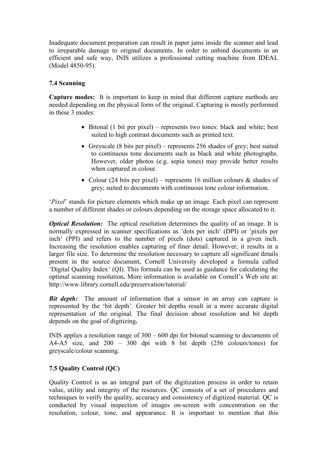Inadequate document preparation can result in paper jams inside the scanner and lead to irreparable damage to original documents. In order to unbind documents in an efficient and safe way, INIS utilizes a professional cutting machine from IDEAL (Model 4850-95).

#### **7.4 Scanning**

**Capture modes:** It is important to keep in mind that different capture methods are needed depending on the physical form of the original. Capturing is mostly performed in these 3 modes:

- $\bullet$  Bitonal (1 bit per pixel) represents two tones: black and white; best suited to high contrast documents such as printed text.
- Greyscale (8 bits per pixel) represents 256 shades of grey; best suited to continuous tone documents such as black and white photographs. However, older photos (e.g. sepia tones) may provide better results when captured in colour.
- Colour (24 bits per pixel) represents 16 million colours  $\&$  shades of grey; suited to documents with continuous tone colour information.

'*Pixel*' stands for picture elements which make up an image. Each pixel can represent a number of different shades or colours depending on the storage space allocated to it.

*Optical Resolution:* The optical resolution determines the quality of an image. It is normally expressed in scanner specifications as 'dots per inch' (DPI) or 'pixels per inch' (PPI) and refers to the number of pixels (dots) captured in a given inch. Increasing the resolution enables capturing of finer detail. However, it results in a larger file size. To determine the resolution necessary to capture all significant details present in the source document, Cornell University developed a formula called 'Digital Quality Index' (QI). This formula can be used as guidance for calculating the optimal scanning resolution**.** More information is available on Cornell's Web site at: <http://www.library.cornell.edu/preservation/tutorial/>

*Bit depth:* The amount of information that a sensor in an array can capture is represented by the 'bit depth'. Greater bit depths result in a more accurate digital representation of the original. The final decision about resolution and bit depth depends on the goal of digitizing**.**

INIS applies a resolution range of 300 – 600 dpi for bitonal scanning to documents of A4-A5 size, and  $200 - 300$  dpi with 8 bit depth (256 colours/tones) for greyscale/colour scanning.

#### **7.5 Quality Control (QC)**

Quality Control is as an integral part of the digitization process in order to retain value, utility and integrity of the resources. QC consists of a set of procedures and techniques to verify the quality, accuracy and consistency of digitized material. QC is conducted by visual inspection of images on-screen with concentration on the resolution, colour, tone, and appearance. It is important to mention that this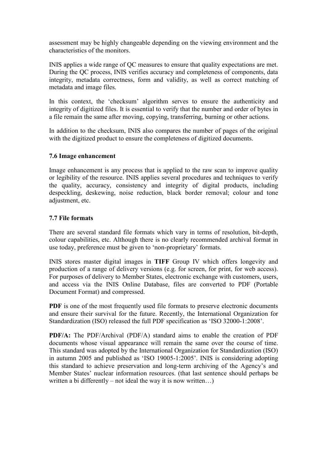assessment may be highly changeable depending on the viewing environment and the characteristics of the monitors.

INIS applies a wide range of QC measures to ensure that quality expectations are met. During the QC process, INIS verifies accuracy and completeness of components, data integrity, metadata correctness, form and validity, as well as correct matching of metadata and image files.

In this context, the 'checksum' algorithm serves to ensure the authenticity and integrity of digitized files. It is essential to verify that the number and order of bytes in a file remain the same after moving, copying, transferring, burning or other actions.

In addition to the checksum, INIS also compares the number of pages of the original with the digitized product to ensure the completeness of digitized documents.

#### **7.6 Image enhancement**

Image enhancement is any process that is applied to the raw scan to improve quality or legibility of the resource. INIS applies several procedures and techniques to verify the quality, accuracy, consistency and integrity of digital products, including despeckling, deskewing, noise reduction, black border removal; colour and tone adjustment, etc.

#### **7.7 File formats**

There are several standard file formats which vary in terms of resolution, bit-depth, colour capabilities, etc. Although there is no clearly recommended archival format in use today, preference must be given to 'non-proprietary' formats.

INIS stores master digital images in **TIFF** Group IV which offers longevity and production of a range of delivery versions (e.g. for screen, for print, for web access). For purposes of delivery to Member States, electronic exchange with customers, users, and access via the INIS Online Database, files are converted to PDF (Portable Document Format) and compressed.

**PDF** is one of the most frequently used file formats to preserve electronic documents and ensure their survival for the future. Recently, the International Organization for Standardization (ISO) released the full PDF specification as 'ISO 32000-1:2008'.

**PDF/A:** The PDF/Archival (PDF/A) standard aims to enable the creation of PDF documents whose visual appearance will remain the same over the course of time. This standard was adopted by the International Organization for Standardization (ISO) in autumn 2005 and published as 'ISO 19005-1:2005'. INIS is considering adopting this standard to achieve preservation and long-term archiving of the Agency's and Member States' nuclear information resources. (that last sentence should perhaps be written a bi differently – not ideal the way it is now written...)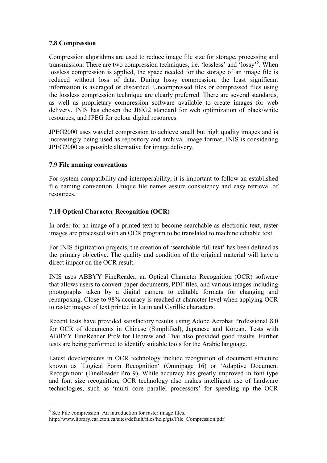#### **7.8 Compression**

Compression algorithms are used to reduce image file size for storage, processing and transmission. There are two compression techniques, i.e. 'lossless' and 'lossy'[5](#page-11-0) . When lossless compression is applied, the space needed for the storage of an image file is reduced without loss of data. During lossy compression, the least significant information is averaged or discarded. Uncompressed files or compressed files using the lossless compression technique are clearly preferred. There are several standards, as well as proprietary compression software available to create images for web delivery. INIS has chosen the JBIG2 standard for web optimization of black/white resources, and JPEG for colour digital resources.

JPEG2000 uses wavelet compression to achieve small but high quality images and is increasingly being used as repository and archival image format. INIS is considering JPEG2000 as a possible alternative for image delivery.

#### **7.9 File naming conventions**

For system compatibility and interoperability, it is important to follow an established file naming convention. Unique file names assure consistency and easy retrieval of resources.

#### **7.10 Optical Character Recognition (OCR)**

In order for an image of a printed text to become searchable as electronic text, raster images are processed with an OCR program to be translated to machine editable text.

For INIS digitization projects, the creation of 'searchable full text' has been defined as the primary objective. The quality and condition of the original material will have a direct impact on the OCR result.

INIS uses ABBYY FineReader, an Optical Character Recognition (OCR) software that allows users to convert paper documents, PDF files, and various images including photographs taken by a digital camera to editable formats for changing and repurposing. Close to 98% accuracy is reached at character level when applying OCR to raster images of text printed in Latin and Cyrillic characters.

Recent tests have provided satisfactory results using Adobe Acrobat Professional 8.0 for OCR of documents in Chinese (Simplified), Japanese and Korean. Tests with ABBYY FineReader Pro9 for Hebrew and Thai also provided good results. Further tests are being performed to identify suitable tools for the Arabic language.

Latest developments in OCR technology include recognition of document structure known as 'Logical Form Recognition' (Omnipage 16) or 'Adaptive Document Recognition' (FineReader Pro 9). While accuracy has greatly improved in font type and font size recognition, OCR technology also makes intelligent use of hardware technologies, such as 'multi core parallel processors' for speeding up the OCR

<span id="page-11-0"></span><sup>&</sup>lt;sup>5</sup> See File compression: An introduction for raster image files.

http://www.library.carleton.ca/sites/default/files/help/gis/File\_Compression.pdf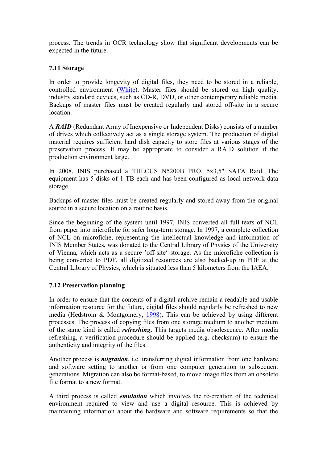process. The trends in OCR technology show that significant developments can be expected in the future.

#### **7.11 Storage**

In order to provide longevity of digital files, they need to be stored in a reliable, controlled environment([White](#page-15-0)). Master files should be stored on high quality, industry standard devices, such as CD-R, DVD, or other contemporary reliable media. Backups of master files must be created regularly and stored off-site in a secure location.

A *RAID* (Redundant Array of Inexpensive or Independent Disks) consists of a number of drives which collectively act as a single storage system. The production of digital material requires sufficient hard disk capacity to store files at various stages of the preservation process. It may be appropriate to consider a RAID solution if the production environment large.

In 2008, INIS purchased a THECUS N5200B PRO, 5x3,5" SATA Raid. The equipment has 5 disks of 1 TB each and has been configured as local network data storage.

Backups of master files must be created regularly and stored away from the original source in a secure location on a routine basis.

Since the beginning of the system until 1997, INIS converted all full texts of NCL from paper into microfiche for safer long-term storage. In 1997, a complete collection of NCL on microfiche, representing the intellectual knowledge and information of INIS Member States, was donated to the Central Library of Physics of the University of Vienna, which acts as a secure 'off-site' storage. As the microfiche collection is being converted to PDF, all digitized resources are also backed-up in PDF at the Central Library of Physics, which is situated less than 5 kilometers from the IAEA.

#### **7.12 Preservation planning**

In order to ensure that the contents of a digital archive remain a readable and usable information resource for the future, digital files should regularly be refreshed to new media (Hedstrom & Montgomery, [1998](#page-15-0)). This can be achieved by using different processes. The process of copying files from one storage medium to another medium of the same kind is called *refreshing***.** This targets media obsolescence. After media refreshing, a verification procedure should be applied (e.g. checksum) to ensure the authenticity and integrity of the files.

Another process is *migration*, i.e. transferring digital information from one hardware and software setting to another or from one computer generation to subsequent generations. Migration can also be format-based, to move image files from an obsolete file format to a new format.

A third process is called *emulation* which involves the re-creation of the technical environment required to view and use a digital resource. This is achieved by maintaining information about the hardware and software requirements so that the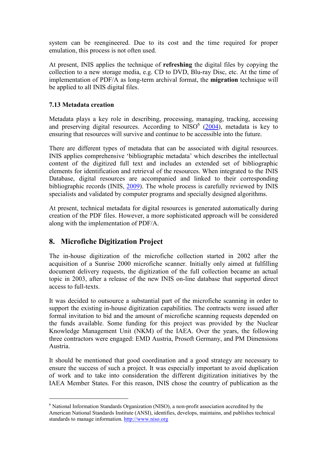system can be reengineered. Due to its cost and the time required for proper emulation, this process is not often used.

At present, INIS applies the technique of **refreshing** the digital files by copying the collection to a new storage media, e.g. CD to DVD, Blu-ray Disc, etc. At the time of implementation of PDF/A as long-term archival format, the **migration** technique will be applied to all INIS digital files.

#### **7.13 Metadata creation**

Metadata plays a key role in describing, processing, managing, tracking, accessing and preserving digital resources. According to  $NISO<sup>6</sup>$  $NISO<sup>6</sup>$  $NISO<sup>6</sup>$  ([2004\)](#page-15-0), metadata is key to ensuring that resources will survive and continue to be accessible into the future.

There are different types of metadata that can be associated with digital resources. INIS applies comprehensive 'bibliographic metadata' which describes the intellectual content of the digitized full text and includes an extended set of bibliographic elements for identification and retrieval of the resources. When integrated to the INIS Database, digital resources are accompanied and linked to their corresponding bibliographic records (INIS, [2009](#page-15-0)). The whole process is carefully reviewed by INIS specialists and validated by computer programs and specially designed algorithms.

At present, technical metadata for digital resources is generated automatically during creation of the PDF files. However, a more sophisticated approach will be considered along with the implementation of PDF/A.

## **8. Microfiche Digitization Project**

The in-house digitization of the microfiche collection started in 2002 after the acquisition of a Sunrise 2000 microfiche scanner. Initially only aimed at fulfilling document delivery requests, the digitization of the full collection became an actual topic in 2003, after a release of the new INIS on-line database that supported direct access to full-texts.

It was decided to outsource a substantial part of the microfiche scanning in order to support the existing in-house digitization capabilities. The contracts were issued after formal invitation to bid and the amount of microfiche scanning requests depended on the funds available. Some funding for this project was provided by the Nuclear Knowledge Management Unit (NKM) of the IAEA. Over the years, the following three contractors were engaged: EMD Austria, Prosoft Germany, and PM Dimensions Austria.

It should be mentioned that good coordination and a good strategy are necessary to ensure the success of such a project. It was especially important to avoid duplication of work and to take into consideration the different digitization initiatives by the IAEA Member States. For this reason, INIS chose the country of publication as the

<span id="page-13-0"></span><sup>6</sup> National Information Standards Organization (NISO), a non-profit association accredited by the American National Standards Institute (ANSI), identifies, develops, maintains, and publishes technical standards to manage information. http://www.niso.org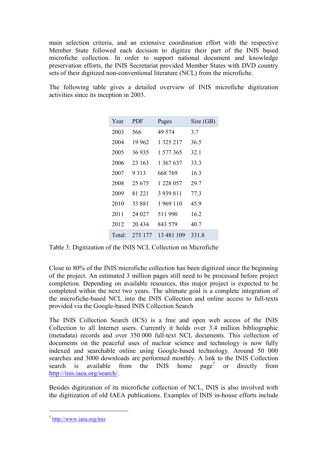main selection criteria, and an extensive coordination effort with the respective Member State followed each decision to digitize their part of the INIS based microfiche collection. In order to support national document and knowledge preservation efforts, the INIS Secretariat provided Member States with DVD country sets of their digitized non-conventional literature (NCL) from the microfiche.

The following table gives a detailed overview of INIS microfiche digitization activities since its inception in 2003.

| Year   | <b>PDF</b> | Pages         | Size (GB) |
|--------|------------|---------------|-----------|
| 2003   | 566        | 49 574        | 3.7       |
| 2004   | 19 962     | 1 3 2 5 2 1 7 | 36.5      |
| 2005   | 36935      | 1 577 365     | 32.1      |
| 2006   | 23 163     | 1 367 637     | 33.3      |
| 2007   | 9 3 1 3    | 668 769       | 16.3      |
| 2008   | 25 675     | 1 228 057     | 29.7      |
| 2009   | 81 221     | 3 939 811     | 77.3      |
| 2010   | 33 881     | 1969 110      | 45.9      |
| 2011   | 24 027     | 511990        | 16.2      |
| 2012   | 20434      | 843 579       | 40.7      |
| Total: | 275 177    | 13 481 109    | 331.8     |

Table 3: Digitization of the INIS NCL Collection on Microfiche

Close to 80% of the INIS microfiche collection has been digitized since the beginning of the project. An estimated 3 million pages still need to be processed before project completion. Depending on available resources, this major project is expected to be completed within the next two years. The ultimate goal is a complete integration of the microfiche-based NCL into the INIS Collection and online access to full-texts provided via the Google-based INIS Collection Search

The INIS Collection Search (ICS) is a free and open web access of the INIS Collection to all Internet users. Currently it holds over 3.4 million bibliographic (metadata) records and over 350 000 full-text NCL documents. This collection of documents on the peaceful uses of nuclear science and technology is now fully indexed and searchable online using Google-based technology. Around 50 000 searches and 3000 downloads are performed monthly. A link to the INIS Collection searchis available from the INIS home  $page^7$ or directly from [http://inis.iaea.org/search/.](http://inis.iaea.org/search/)

Besides digitization of its microfiche collection of NCL, INIS is also involved with the digitization of old IAEA publications. Examples of INIS in-house efforts include

<span id="page-14-0"></span><sup>&</sup>lt;sup>7</sup> http://www.iaea.org/inis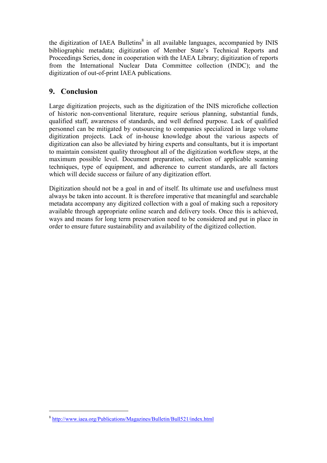the digitization of IAEA Bulletins<sup>[8](#page-15-1)</sup> in all available languages, accompanied by INIS bibliographic metadata; digitization of Member State's Technical Reports and Proceedings Series, done in cooperation with the IAEA Library; digitization of reports from the International Nuclear Data Committee collection (INDC); and the digitization of out-of-print IAEA publications.

# **9. Conclusion**

Large digitization projects, such as the digitization of the INIS microfiche collection of historic non-conventional literature, require serious planning, substantial funds, qualified staff, awareness of standards, and well defined purpose. Lack of qualified personnel can be mitigated by outsourcing to companies specialized in large volume digitization projects. Lack of in-house knowledge about the various aspects of digitization can also be alleviated by hiring experts and consultants, but it is important to maintain consistent quality throughout all of the digitization workflow steps, at the maximum possible level. Document preparation, selection of applicable scanning techniques, type of equipment, and adherence to current standards, are all factors which will decide success or failure of any digitization effort.

<span id="page-15-0"></span>Digitization should not be a goal in and of itself. Its ultimate use and usefulness must always be taken into account. It is therefore imperative that meaningful and searchable metadata accompany any digitized collection with a goal of making such a repository available through appropriate online search and delivery tools. Once this is achieved, ways and means for long term preservation need to be considered and put in place in order to ensure future sustainability and availability of the digitized collection.

<span id="page-15-1"></span><sup>&</sup>lt;sup>8</sup> http://www.iaea.org/Publications/Magazines/Bulletin/Bull521/index.html